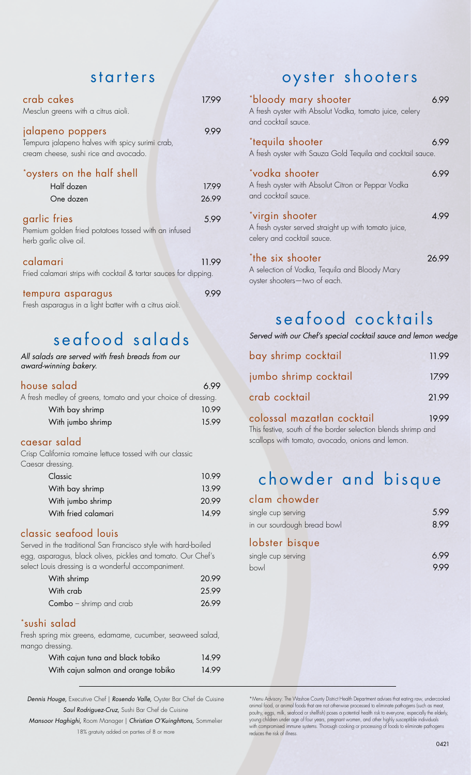# starters

| crab cakes<br>Mesclun greens with a citrus aioli.                                                            |       |
|--------------------------------------------------------------------------------------------------------------|-------|
| jalapeno poppers<br>Tempura jalapeno halves with spicy surimi crab,<br>cream cheese, sushi rice and avocado. | 9.99  |
| *oysters on the half shell                                                                                   |       |
| Half dozen                                                                                                   | 17.99 |
| One dozen                                                                                                    | 26.99 |
| garlic fries<br>Premium golden fried potatoes tossed with an infused<br>herb garlic olive oil.               | 5.99  |
| calamari<br>Fried calamari strips with cocktail & tartar sauces for dipping.                                 | 11.99 |
| tempura asparagus                                                                                            |       |

Fresh asparagus in a light batter with a citrus aioli.

# seafood salads

#### *All salads are served with fresh breads from our award-winning bakery.*

| house salad                                                   | 699   |
|---------------------------------------------------------------|-------|
| A fresh medley of greens, tomato and your choice of dressing. |       |
| With bay shrimp                                               | 10.99 |
| With jumbo shrimp                                             | 15.99 |

### caesar salad

Crisp California romaine lettuce tossed with our classic Caesar dre

| r aressing.         |       |
|---------------------|-------|
| Classic             | 10.99 |
| With bay shrimp     | 13.99 |
| With jumbo shrimp   | 20.99 |
| With fried calamari | 14.99 |
|                     |       |

## classic seafood louis

Served in the traditional San Francisco style with hard-boiled egg, asparagus, black olives, pickles and tomato. Our Chef's select Louis dressing is a wonderful accompaniment.

| With shrimp                    | 20.99 |
|--------------------------------|-------|
| With crab                      | 25.99 |
| <b>Combo</b> – shrimp and crab | 26.99 |

### \*sushi salad

Fresh spring mix greens, edamame, cucumber, seaweed salad, mango dressing.

| With cajun tuna and black tobiko    | 14.99 |
|-------------------------------------|-------|
| With cajun salmon and orange tobiko | 14.99 |

**Dennis Houge,** Executive Chef | *Rosendo Valle,* Oyster Bar Chef de Cuisine \*Menu Advisory: The Washoe County District Health Department advises that eating raw, undercooked animal food, or animal foods that are not other

*Mansoor Haghighi,* Room Manager | *Christian O'Kuinghttons, Sommelier* 

# oyster shooters

| *bloody mary shooter<br>A fresh oyster with Absolut Vodka, tomato juice, celery<br>and cocktail sauce. | 6 99  |
|--------------------------------------------------------------------------------------------------------|-------|
| *tequila shooter<br>A fresh oyster with Sauza Gold Tequila and cocktail sauce.                         | 6.99  |
| *vodka shooter<br>A fresh oyster with Absolut Citron or Peppar Vodka<br>and cocktail sauce.            | 6.99  |
| *virgin shooter<br>A fresh oyster served straight up with tomato juice,<br>celery and cocktail sauce.  | 4 9 9 |
| *the six shooter<br>A selection of Vodka, Tequila and Bloody Mary<br>oyster shooters-two of each.      | 26 99 |

# seafood cocktails

*Served with our Chef's special cocktail sauce and lemon wedge* 

| bay shrimp cocktail        |       |
|----------------------------|-------|
| jumbo shrimp cocktail      | 17.99 |
| crab cocktail              | 21.99 |
| colossal mazatlan cocktail | 19.99 |

This festive, south of the border selection blends shrimp and scallops with tomato, avocado, onions and lemon.

# chowder and bisque

| clam chowder       |      |
|--------------------|------|
| single cup serving | 5.99 |

| <u>anidie cob aerunid</u>   | $\cup$ . $\prime$ $\prime$ |
|-----------------------------|----------------------------|
| in our sourdough bread bowl | 8.99                       |
|                             |                            |

## lobster bisque

| single cup serving | 6.99 |
|--------------------|------|
| bowl               | 9.99 |

Saul Rodriguez-Cruz, Sushi Bar Chef de Cuisine en and the construction of animal lood, or animal loods include not one was processed to eliminate participate stach is mean,<br>poultry, eggs, milk, seafood or shellfish) poses Fraction Comparised immune systems. Thorough women, and other highly susceptible individuals<br>18% gratuity added on parties of 8 or more reduces the risk of illness.<br>18% gratuity added on parties of 8 or more reduces the ri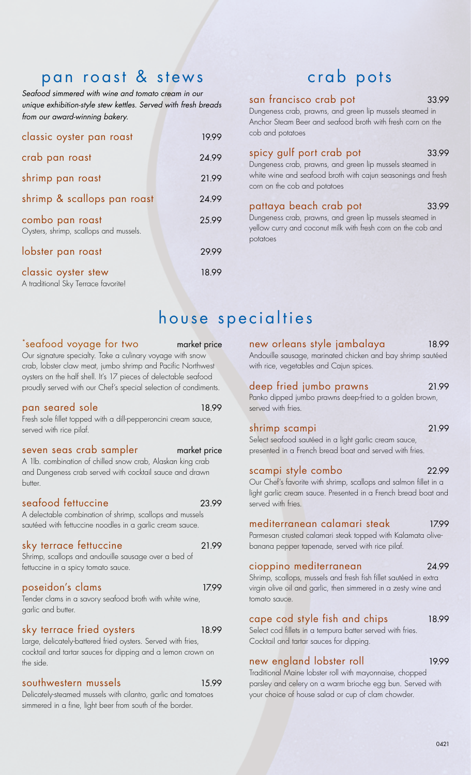# pan roast & stews

*Seafood simmered with wine and tomato cream in our unique exhibition-style stew kettles. Served with fresh breads from our award-winning bakery.* 

| classic oyster pan roast                                   | 19.99 |
|------------------------------------------------------------|-------|
| crab pan roast                                             | 24.99 |
| shrimp pan roast                                           | 21.99 |
| shrimp & scallops pan roast                                | 24.99 |
| combo pan roast<br>Oysters, shrimp, scallops and mussels.  | 25.99 |
| lobster pan roast                                          | 29.99 |
| classic oyster stew<br>A traditional Sky Terrace favorite! | 18.99 |

# crab pots

#### san francisco crab pot 33.99

Dungeness crab, prawns, and green lip mussels steamed in Anchor Steam Beer and seafood broth with fresh corn on the cob and potatoes

# spicy gulf port crab pot 33.99 Dungeness crab, prawns, and green lip mussels steamed in

white wine and seafood broth with cajun seasonings and fresh corn on the cob and potatoes

### pattaya beach crab pot 33.99

Dungeness crab, prawns, and green lip mussels steamed in yellow curry and coconut milk with fresh corn on the cob and potatoes

# house specialties

#### \*seafood voyage for two market price

Our signature specialty. Take a culinary voyage with snow crab, lobster claw meat, jumbo shrimp and Pacific Northwest oysters on the half shell. It's 17 pieces of delectable seafood proudly served with our Chef's special selection of condiments.

#### pan seared sole 18.99

Fresh sole fillet topped with a dill-pepperoncini cream sauce, served with rice pilaf.

#### seven seas crab sampler market price

A 1lb. combination of chilled snow crab, Alaskan king crab and Dungeness crab served with cocktail sauce and drawn butter.

### seafood fettuccine 23.99

A delectable combination of shrimp, scallops and mussels sautéed with fettuccine noodles in a garlic cream sauce.

#### sky terrace fettuccine 21.99

Shrimp, scallops and andouille sausage over a bed of fettuccine in a spicy tomato sauce.

#### poseidon's clams 17.99

Tender clams in a savory seafood broth with white wine, garlic and butter.

### sky terrace fried oysters 18.99

Large, delicately-battered fried oysters. Served with fries, cocktail and tartar sauces for dipping and a lemon crown on the side.

#### southwestern mussels 15.99

Delicately-steamed mussels with cilantro, garlic and tomatoes simmered in a fine, light beer from south of the border.

new orleans style jambalaya 18.99

Andouille sausage, marinated chicken and bay shrimp sautéed with rice, vegetables and Cajun spices.

### deep fried jumbo prawns 21.99

Panko dipped jumbo prawns deep-fried to a golden brown, served with fries.

## shrimp scampi 21.99

Select seafood sautéed in a light garlic cream sauce, presented in a French bread boat and served with fries.

### scampi style combo 22.99

Our Chef's favorite with shrimp, scallops and salmon fillet in a light garlic cream sauce. Presented in a French bread boat and served with fries.

### mediterranean calamari steak 17.99

Parmesan crusted calamari steak topped with Kalamata olivebanana pepper tapenade, served with rice pilaf.

#### cioppino mediterranean 24.99

18.99

Shrimp, scallops, mussels and fresh fish fillet sautéed in extra virgin olive oil and garlic, then simmered in a zesty wine and tomato sauce.

### cape cod style fish and chips

Select cod fillets in a tempura batter served with fries. Cocktail and tartar sauces for dipping.

### new england lobster roll 19.99

Traditional Maine lobster roll with mayonnaise, chopped parsley and celery on a warm brioche egg bun. Served with your choice of house salad or cup of clam chowder.

0421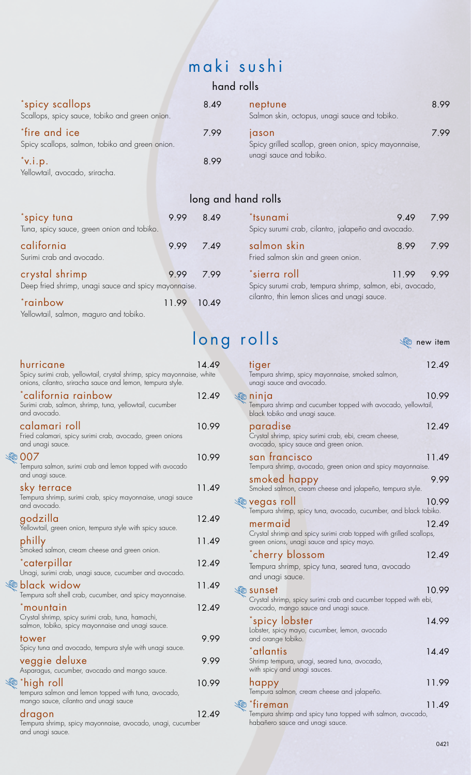# maki sushi

### hand rolls

| *spicy scallops<br>Scallops, spicy sauce, tobiko and green onion. | 8.49 | neptune<br>Salmon skin, octopus, unagi sauce and tobiko.              | 8.99 |
|-------------------------------------------------------------------|------|-----------------------------------------------------------------------|------|
| *fire and ice<br>Spicy scallops, salmon, tobiko and green onion.  | 7.99 | <b>jason</b><br>Spicy grilled scallop, green onion, spicy mayonnaise, | 7 99 |
| $\sqrt{\ }$ v.i.p.<br>Yellowtail, avocado, sriracha.              | 8.99 | unagi sauce and tobiko.                                               |      |

|                                                                        |             | <b>POLIS</b> SIL |
|------------------------------------------------------------------------|-------------|------------------|
| *spicy tuna<br>Tuna, spicy sauce, green onion and tobiko.              | 9.99        | 8.49             |
| california<br>Surimi crab and avocado.                                 |             | 9.99 7.49        |
| crystal shrimp<br>Deep fried shrimp, unagi sauce and spicy mayonnaise. |             | 9.99 7.99        |
| *rainbow                                                               | 11.99 10.49 |                  |

Yellowtail, salmon, maguro and tobiko.

# long and hand rolls

| <i>*</i> tsunami | Spicy surumi crab, cilantro, jalapeño and avocado.       | 9.49      |     |
|------------------|----------------------------------------------------------|-----------|-----|
|                  | salmon skin<br>Fried salmon skin and green onion.        | 8.99 7.99 |     |
| *sierra roll     | Spicy surumi crab, tempura shrimp, salmon, ebi, avocado, | 11.99     | 999 |
|                  | cilantro, thin lemon slices and unagi sauce.             |           |     |

# long rolls

**C** new item

| hurricane<br>Spicy surimi crab, yellowtail, crystal shrimp, spicy mayonnaise, white<br>onions, cilantro, sriracha sauce and lemon, tempura style. | 14.49 | tiger<br>Tempura shrimp, spicy mayonnaise, smoked salmon,<br>unagi sauce and avocado.                                   | 12.49 |
|---------------------------------------------------------------------------------------------------------------------------------------------------|-------|-------------------------------------------------------------------------------------------------------------------------|-------|
| *california rainbow<br>Surimi crab, salmon, shrimp, tuna, yellowtail, cucumber<br>and avocado.                                                    | 12.49 | $\sqrt[4]{6}$ ninja<br>Tempura shrimp and cucumber topped with avocado, yellowtail,<br>black tobiko and unagi sauce.    | 10.99 |
| calamari roll<br>Fried calamari, spicy surimi crab, avocado, green onions<br>and unagi sauce.                                                     | 10.99 | paradise<br>Crystal shrimp, spicy surimi crab, ebi, cream cheese,<br>avocado, spicy sauce and green onion.              | 12.49 |
| 007<br>Tempura salmon, surimi crab and lemon topped with avocado                                                                                  | 10.99 | san francisco<br>Tempura shrimp, avocado, green onion and spicy mayonnaise.                                             | 11.49 |
| and unagi sauce.<br>sky terrace                                                                                                                   | 11.49 | smoked happy<br>Smoked salmon, cream cheese and jalapeño, tempura style.                                                | 9.99  |
| Tempura shrimp, surimi crab, spicy mayonnaise, unagi sauce<br>and avocado.                                                                        |       | <sup>্</sup> ©ি vegas roll<br>Tempura shrimp, spicy tuna, avocado, cucumber, and black tobiko.                          | 10.99 |
| godzilla<br>Yellowtail, green onion, tempura style with spicy sauce.                                                                              | 12.49 | mermaid<br>Crystal shrimp and spicy surimi crab topped with grilled scallops,                                           | 12.49 |
| philly<br>Smoked salmon, cream cheese and green onion.                                                                                            | 11.49 | green onions, unagi sauce and spicy mayo.                                                                               |       |
| *caterpillar<br>Unagi, surimi crab, unagi sauce, cucumber and avocado.                                                                            | 12.49 | *cherry blossom<br>Tempura shrimp, spicy tuna, seared tuna, avocado<br>and unagi sauce.                                 | 12.49 |
| black widow<br>Tempura soft shell crab, cucumber, and spicy mayonnaise.                                                                           | 11.49 | V© sunset<br>Crystal shrimp, spicy surimi crab and cucumber topped with ebi,                                            | 10.99 |
| *mountain<br>Crystal shrimp, spicy surimi crab, tuna, hamachi,                                                                                    | 12.49 | avocado, mango sauce and unagi sauce.                                                                                   | 14.99 |
| salmon, tobiko, spicy mayonnaise and unagi sauce.                                                                                                 |       | *spicy lobster<br>Lobster, spicy mayo, cucumber, lemon, avocado                                                         |       |
| tower<br>Spicy tuna and avocado, tempura style with unagi sauce.                                                                                  | 9.99  | and orange tobiko.<br>*atlantis                                                                                         | 14.49 |
| veggie deluxe<br>Asparagus, cucumber, avocado and mango sauce.                                                                                    | 9.99  | Shrimp tempura, unagi, seared tuna, avocado,<br>with spicy and unagi sauces.                                            |       |
| *high roll<br>tempura salmon and lemon topped with tuna, avocado,                                                                                 | 10.99 | happy<br>Tempura salmon, cream cheese and jalapeño.                                                                     | 11.99 |
| mango sauce, cilantro and unagi sauce<br>dragon<br>Tempura shrimp, spicy mayonnaise, avocado, unagi, cucumber                                     | 12.49 | *fireman<br>$\sqrt{6}$<br>Tempura shrimp and spicy tuna topped with salmon, avocado,<br>habañero sauce and unagi sauce. | 11.49 |

### $\degree$ california rainbow  $\degree$  12.49 onions, cilantro, sriracha sauce and lemon, tempura style. Surimi crab, salmon, shrimp, tuna, yellowtail, cucumber and avocado. calamari roll 10.99 Fried calamari, spicy surimi crab, avocado, green onions <sup>্</sup>তি 007 and unagi sauce. 10.99 Tempura salmon, surimi crab and lemon topped with avocado and unagi sauce. sky terrace 11.49 Tempura shrimp, surimi crab, spicy mayonnaise, unagi sauce and avocado. godzilla 12.49 Yellowtail, green onion, tempura style with spicy sauce. philly 11.49 Smoked salmon, cream cheese and green onion. \*caterpillar 12.49 Communication black widow and the set of the 11.49 Unagi, surimi crab, unagi sauce, cucumber and avocado. Tempura soft shell crab, cucumber, and spicy mayonnaise. \*mountain 12.49 Crystal shrimp, spicy surimi crab, tuna, hamachi, salmon, tobiko, spicy mayonnaise and unagi sauce. tower 9.99 Spicy tuna and avocado, tempura style with unagi sauce. veggie deluxe 9.99  $\%$  \*high roll  $\%$  10.99 Asparagus, cucumber, avocado and mango sauce. tempura salmon and lemon topped with tuna, avocado, mango sauce, cilantro and unagi sauce

Tempura shrimp, spicy mayonnaise, avocado, unagi, cucumber and unagi sauce.